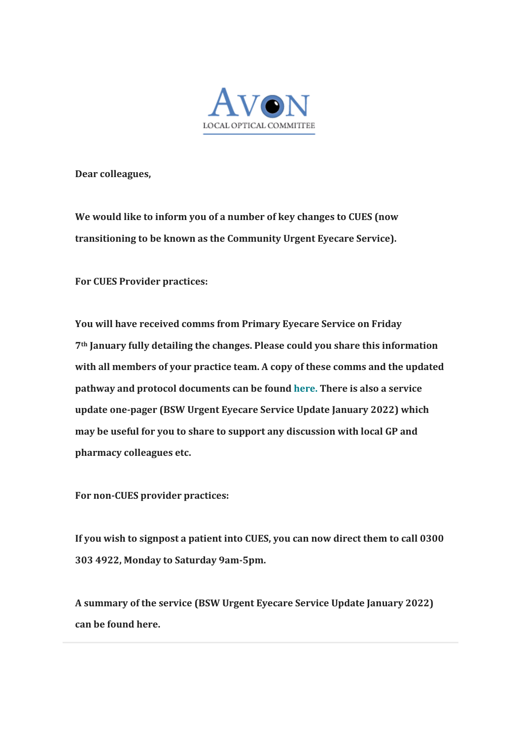

**Dear colleagues,**

**We would like to inform you of a number of key changes to CUES (now transitioning to be known as the Community Urgent Eyecare Service).**

**For CUES Provider practices:**

**You will have received comms from Primary Eyecare Service on Friday 7th January fully detailing the changes. Please could you share this information with all members of your practice team. A copy of these comms and the updated pathway and protocol documents can be found [here.](https://avonloc.us20.list-manage.com/track/click?u=509635801e249742a105408bd&id=a553ef6fc6&e=4e2a55023b) There is also a service update one-pager (BSW Urgent Eyecare Service Update January 2022) which may be useful for you to share to support any discussion with local GP and pharmacy colleagues etc.**

**For non-CUES provider practices:**

**If you wish to signpost a patient into CUES, you can now direct them to call 0300 303 4922, Monday to Saturday 9am-5pm.**

**A summary of the service (BSW Urgent Eyecare Service Update January 2022) can be found here.**